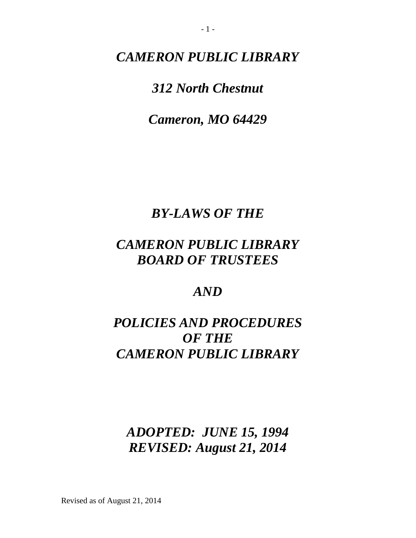*312 North Chestnut*

*Cameron, MO 64429*

# *BY-LAWS OF THE*

# *CAMERON PUBLIC LIBRARY BOARD OF TRUSTEES*

*AND*

# *POLICIES AND PROCEDURES OF THE CAMERON PUBLIC LIBRARY*

*ADOPTED: JUNE 15, 1994 REVISED: August 21, 2014*

Revised as of August 21, 2014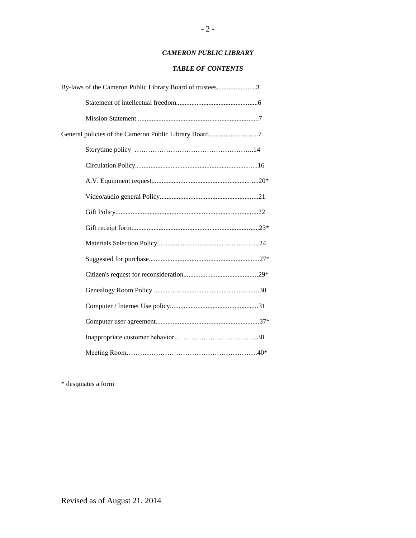#### *TABLE OF CONTENTS*

| By-laws of the Cameron Public Library Board of trustees3 |
|----------------------------------------------------------|
|                                                          |
|                                                          |
|                                                          |
|                                                          |
|                                                          |
|                                                          |
|                                                          |
|                                                          |
|                                                          |
|                                                          |
|                                                          |
|                                                          |
|                                                          |
|                                                          |
|                                                          |
|                                                          |
|                                                          |

\* designates a form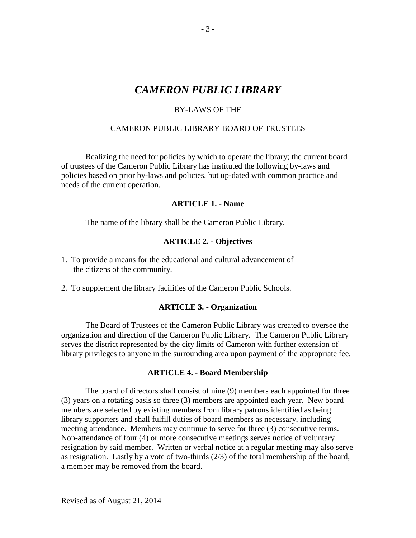### BY-LAWS OF THE

#### CAMERON PUBLIC LIBRARY BOARD OF TRUSTEES

Realizing the need for policies by which to operate the library; the current board of trustees of the Cameron Public Library has instituted the following by-laws and policies based on prior by-laws and policies, but up-dated with common practice and needs of the current operation.

#### **ARTICLE 1. - Name**

The name of the library shall be the Cameron Public Library.

#### **ARTICLE 2. - Objectives**

- 1. To provide a means for the educational and cultural advancement of the citizens of the community.
- 2. To supplement the library facilities of the Cameron Public Schools.

#### **ARTICLE 3. - Organization**

The Board of Trustees of the Cameron Public Library was created to oversee the organization and direction of the Cameron Public Library. The Cameron Public Library serves the district represented by the city limits of Cameron with further extension of library privileges to anyone in the surrounding area upon payment of the appropriate fee.

#### **ARTICLE 4. - Board Membership**

The board of directors shall consist of nine (9) members each appointed for three (3) years on a rotating basis so three (3) members are appointed each year. New board members are selected by existing members from library patrons identified as being library supporters and shall fulfill duties of board members as necessary, including meeting attendance. Members may continue to serve for three (3) consecutive terms. Non-attendance of four (4) or more consecutive meetings serves notice of voluntary resignation by said member. Written or verbal notice at a regular meeting may also serve as resignation. Lastly by a vote of two-thirds (2/3) of the total membership of the board, a member may be removed from the board.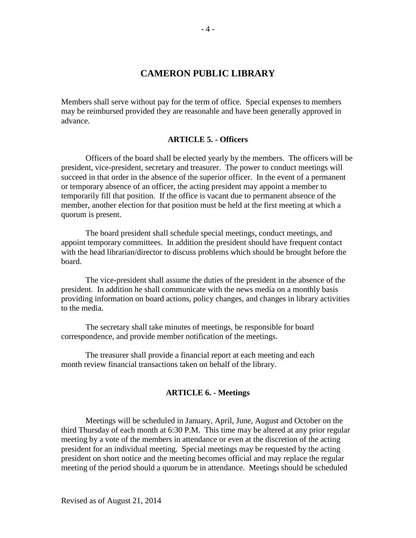Members shall serve without pay for the term of office. Special expenses to members may be reimbursed provided they are reasonable and have been generally approved in advance.

#### **ARTICLE 5. - Officers**

Officers of the board shall be elected yearly by the members. The officers will be president, vice-president, secretary and treasurer. The power to conduct meetings will succeed in that order in the absence of the superior officer. In the event of a permanent or temporary absence of an officer, the acting president may appoint a member to temporarily fill that position. If the office is vacant due to permanent absence of the member, another election for that position must be held at the first meeting at which a quorum is present.

The board president shall schedule special meetings, conduct meetings, and appoint temporary committees. In addition the president should have frequent contact with the head librarian/director to discuss problems which should be brought before the board.

The vice-president shall assume the duties of the president in the absence of the president. In addition he shall communicate with the news media on a monthly basis providing information on board actions, policy changes, and changes in library activities to the media.

The secretary shall take minutes of meetings, be responsible for board correspondence, and provide member notification of the meetings.

The treasurer shall provide a financial report at each meeting and each month review financial transactions taken on behalf of the library.

#### **ARTICLE 6. - Meetings**

Meetings will be scheduled in January, April, June, August and October on the third Thursday of each month at 6:30 P.M. This time may be altered at any prior regular meeting by a vote of the members in attendance or even at the discretion of the acting president for an individual meeting. Special meetings may be requested by the acting president on short notice and the meeting becomes official and may replace the regular meeting of the period should a quorum be in attendance. Meetings should be scheduled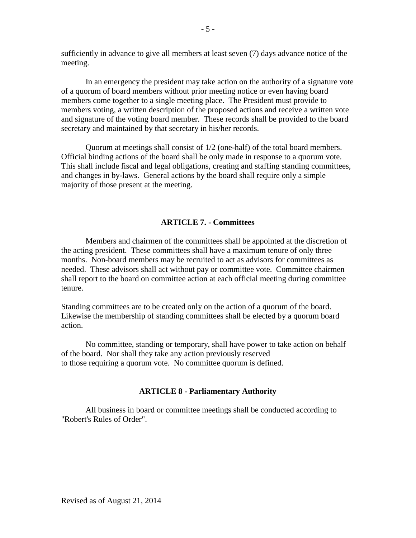sufficiently in advance to give all members at least seven (7) days advance notice of the meeting.

In an emergency the president may take action on the authority of a signature vote of a quorum of board members without prior meeting notice or even having board members come together to a single meeting place. The President must provide to members voting, a written description of the proposed actions and receive a written vote and signature of the voting board member. These records shall be provided to the board secretary and maintained by that secretary in his/her records.

Quorum at meetings shall consist of 1/2 (one-half) of the total board members. Official binding actions of the board shall be only made in response to a quorum vote. This shall include fiscal and legal obligations, creating and staffing standing committees, and changes in by-laws. General actions by the board shall require only a simple majority of those present at the meeting.

### **ARTICLE 7. - Committees**

Members and chairmen of the committees shall be appointed at the discretion of the acting president. These committees shall have a maximum tenure of only three months. Non-board members may be recruited to act as advisors for committees as needed. These advisors shall act without pay or committee vote. Committee chairmen shall report to the board on committee action at each official meeting during committee tenure.

Standing committees are to be created only on the action of a quorum of the board. Likewise the membership of standing committees shall be elected by a quorum board action.

No committee, standing or temporary, shall have power to take action on behalf of the board. Nor shall they take any action previously reserved to those requiring a quorum vote. No committee quorum is defined.

### **ARTICLE 8 - Parliamentary Authority**

All business in board or committee meetings shall be conducted according to "Robert's Rules of Order".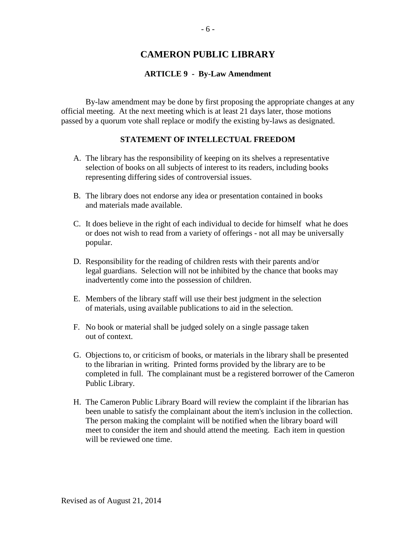### **ARTICLE 9 - By-Law Amendment**

By-law amendment may be done by first proposing the appropriate changes at any official meeting. At the next meeting which is at least 21 days later, those motions passed by a quorum vote shall replace or modify the existing by-laws as designated.

### **STATEMENT OF INTELLECTUAL FREEDOM**

- A. The library has the responsibility of keeping on its shelves a representative selection of books on all subjects of interest to its readers, including books representing differing sides of controversial issues.
- B. The library does not endorse any idea or presentation contained in books and materials made available.
- C. It does believe in the right of each individual to decide for himself what he does or does not wish to read from a variety of offerings - not all may be universally popular.
- D. Responsibility for the reading of children rests with their parents and/or legal guardians. Selection will not be inhibited by the chance that books may inadvertently come into the possession of children.
- E. Members of the library staff will use their best judgment in the selection of materials, using available publications to aid in the selection.
- F. No book or material shall be judged solely on a single passage taken out of context.
- G. Objections to, or criticism of books, or materials in the library shall be presented to the librarian in writing. Printed forms provided by the library are to be completed in full. The complainant must be a registered borrower of the Cameron Public Library.
- H. The Cameron Public Library Board will review the complaint if the librarian has been unable to satisfy the complainant about the item's inclusion in the collection. The person making the complaint will be notified when the library board will meet to consider the item and should attend the meeting. Each item in question will be reviewed one time.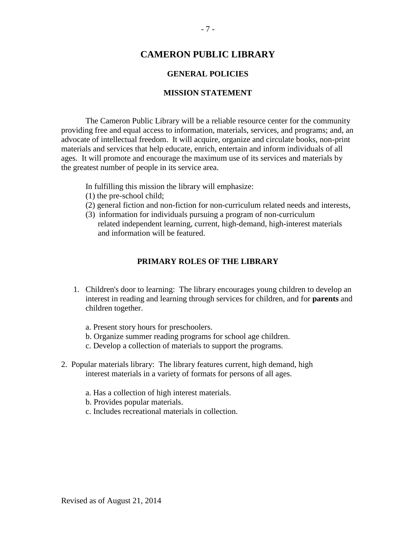#### **GENERAL POLICIES**

#### **MISSION STATEMENT**

The Cameron Public Library will be a reliable resource center for the community providing free and equal access to information, materials, services, and programs; and, an advocate of intellectual freedom. It will acquire, organize and circulate books, non-print materials and services that help educate, enrich, entertain and inform individuals of all ages. It will promote and encourage the maximum use of its services and materials by the greatest number of people in its service area.

In fulfilling this mission the library will emphasize:

- (1) the pre-school child;
- (2) general fiction and non-fiction for non-curriculum related needs and interests,
- (3) information for individuals pursuing a program of non-curriculum related independent learning, current, high-demand, high-interest materials and information will be featured.

### **PRIMARY ROLES OF THE LIBRARY**

- 1. Children's door to learning: The library encourages young children to develop an interest in reading and learning through services for children, and for **parents** and children together.
	- a. Present story hours for preschoolers.
	- b. Organize summer reading programs for school age children.
	- c. Develop a collection of materials to support the programs.
- 2. Popular materials library: The library features current, high demand, high interest materials in a variety of formats for persons of all ages.
	- a. Has a collection of high interest materials.
	- b. Provides popular materials.
	- c. Includes recreational materials in collection.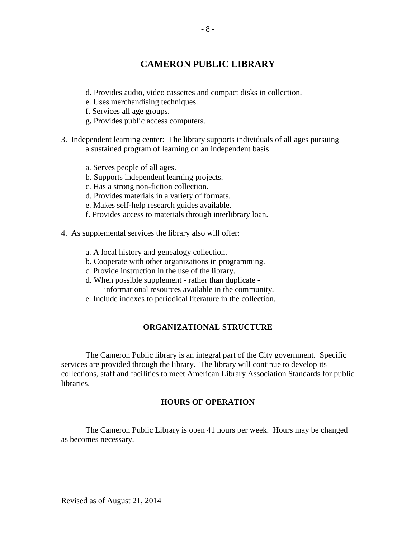- d. Provides audio, video cassettes and compact disks in collection.
- e. Uses merchandising techniques.
- f. Services all age groups.
- g**.** Provides public access computers.
- 3. Independent learning center: The library supports individuals of all ages pursuing a sustained program of learning on an independent basis.
	- a. Serves people of all ages.
	- b. Supports independent learning projects.
	- c. Has a strong non-fiction collection.
	- d. Provides materials in a variety of formats.
	- e. Makes self-help research guides available.
	- f. Provides access to materials through interlibrary loan.
- 4. As supplemental services the library also will offer:
	- a. A local history and genealogy collection.
	- b. Cooperate with other organizations in programming.
	- c. Provide instruction in the use of the library.
	- d. When possible supplement rather than duplicate informational resources available in the community.
	- e. Include indexes to periodical literature in the collection.

### **ORGANIZATIONAL STRUCTURE**

The Cameron Public library is an integral part of the City government. Specific services are provided through the library. The library will continue to develop its collections, staff and facilities to meet American Library Association Standards for public libraries.

### **HOURS OF OPERATION**

The Cameron Public Library is open 41 hours per week. Hours may be changed as becomes necessary.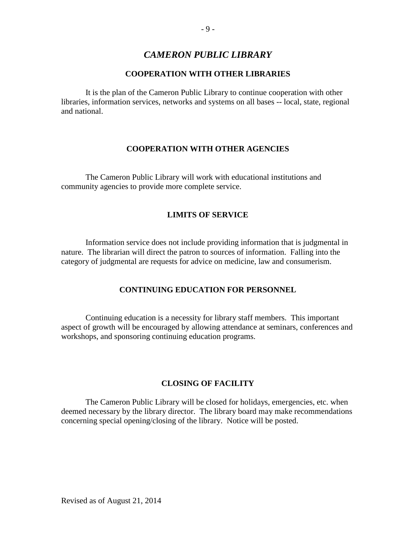#### **COOPERATION WITH OTHER LIBRARIES**

It is the plan of the Cameron Public Library to continue cooperation with other libraries, information services, networks and systems on all bases -- local, state, regional and national.

#### **COOPERATION WITH OTHER AGENCIES**

The Cameron Public Library will work with educational institutions and community agencies to provide more complete service.

### **LIMITS OF SERVICE**

Information service does not include providing information that is judgmental in nature. The librarian will direct the patron to sources of information. Falling into the category of judgmental are requests for advice on medicine, law and consumerism.

### **CONTINUING EDUCATION FOR PERSONNEL**

Continuing education is a necessity for library staff members. This important aspect of growth will be encouraged by allowing attendance at seminars, conferences and workshops, and sponsoring continuing education programs.

#### **CLOSING OF FACILITY**

The Cameron Public Library will be closed for holidays, emergencies, etc. when deemed necessary by the library director. The library board may make recommendations concerning special opening/closing of the library. Notice will be posted.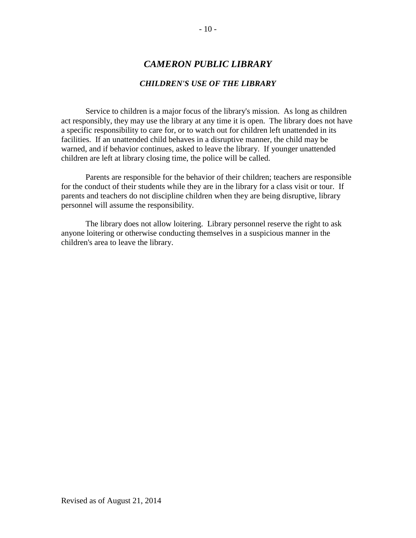### *CHILDREN'S USE OF THE LIBRARY*

Service to children is a major focus of the library's mission. As long as children act responsibly, they may use the library at any time it is open. The library does not have a specific responsibility to care for, or to watch out for children left unattended in its facilities. If an unattended child behaves in a disruptive manner, the child may be warned, and if behavior continues, asked to leave the library. If younger unattended children are left at library closing time, the police will be called.

Parents are responsible for the behavior of their children; teachers are responsible for the conduct of their students while they are in the library for a class visit or tour. If parents and teachers do not discipline children when they are being disruptive, library personnel will assume the responsibility.

The library does not allow loitering. Library personnel reserve the right to ask anyone loitering or otherwise conducting themselves in a suspicious manner in the children's area to leave the library.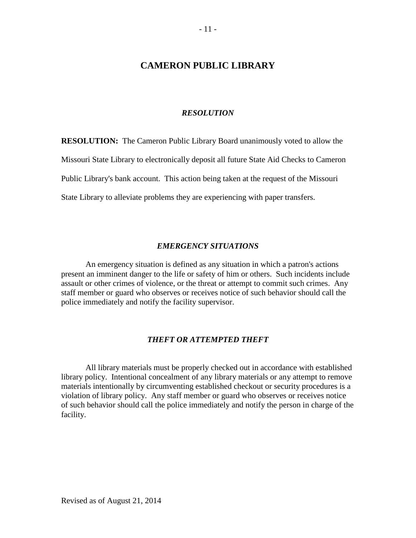#### *RESOLUTION*

**RESOLUTION:** The Cameron Public Library Board unanimously voted to allow the

Missouri State Library to electronically deposit all future State Aid Checks to Cameron

Public Library's bank account. This action being taken at the request of the Missouri

State Library to alleviate problems they are experiencing with paper transfers.

#### *EMERGENCY SITUATIONS*

An emergency situation is defined as any situation in which a patron's actions present an imminent danger to the life or safety of him or others. Such incidents include assault or other crimes of violence, or the threat or attempt to commit such crimes. Any staff member or guard who observes or receives notice of such behavior should call the police immediately and notify the facility supervisor.

#### *THEFT OR ATTEMPTED THEFT*

All library materials must be properly checked out in accordance with established library policy. Intentional concealment of any library materials or any attempt to remove materials intentionally by circumventing established checkout or security procedures is a violation of library policy. Any staff member or guard who observes or receives notice of such behavior should call the police immediately and notify the person in charge of the facility.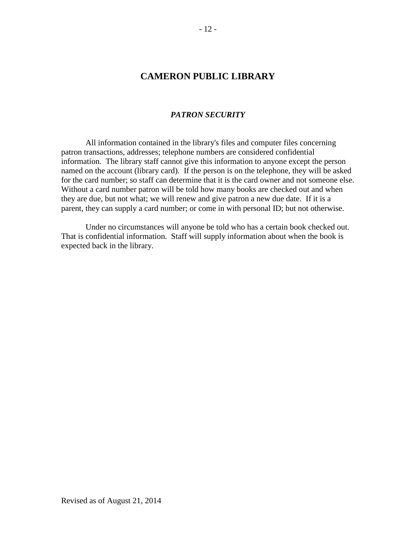### *PATRON SECURITY*

All information contained in the library's files and computer files concerning patron transactions, addresses; telephone numbers are considered confidential information. The library staff cannot give this information to anyone except the person named on the account (library card). If the person is on the telephone, they will be asked for the card number; so staff can determine that it is the card owner and not someone else. Without a card number patron will be told how many books are checked out and when they are due, but not what; we will renew and give patron a new due date. If it is a parent, they can supply a card number; or come in with personal ID; but not otherwise.

Under no circumstances will anyone be told who has a certain book checked out. That is confidential information. Staff will supply information about when the book is expected back in the library.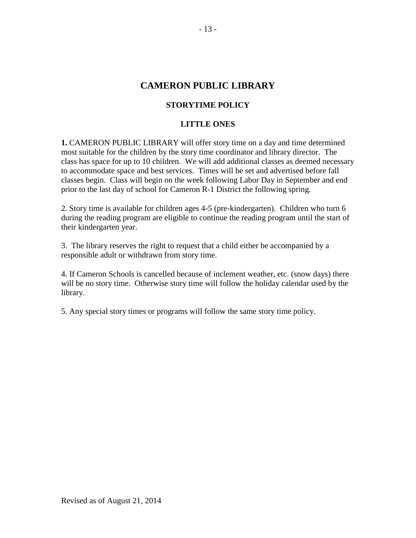## **STORYTIME POLICY**

### **LITTLE ONES**

**1.** CAMERON PUBLIC LIBRARY will offer story time on a day and time determined most suitable for the children by the story time coordinator and library director. The class has space for up to 10 children. We will add additional classes as deemed necessary to accommodate space and best services. Times will be set and advertised before fall classes begin. Class will begin on the week following Labor Day in September and end prior to the last day of school for Cameron R-1 District the following spring.

2. Story time is available for children ages 4-5 (pre-kindergarten). Children who turn 6 during the reading program are eligible to continue the reading program until the start of their kindergarten year.

3. The library reserves the right to request that a child either be accompanied by a responsible adult or withdrawn from story time.

4. If Cameron Schools is cancelled because of inclement weather, etc. (snow days) there will be no story time. Otherwise story time will follow the holiday calendar used by the library.

5. Any special story times or programs will follow the same story time policy.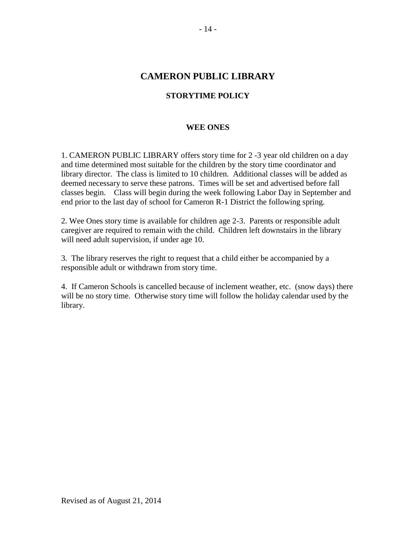## **STORYTIME POLICY**

### **WEE ONES**

1. CAMERON PUBLIC LIBRARY offers story time for 2 -3 year old children on a day and time determined most suitable for the children by the story time coordinator and library director. The class is limited to 10 children.Additional classes will be added as deemed necessary to serve these patrons. Times will be set and advertised before fall classes begin. Class will begin during the week following Labor Day in September and end prior to the last day of school for Cameron R-1 District the following spring.

2. Wee Ones story time is available for children age 2-3. Parents or responsible adult caregiver are required to remain with the child. Children left downstairs in the library will need adult supervision, if under age 10.

3. The library reserves the right to request that a child either be accompanied by a responsible adult or withdrawn from story time.

4. If Cameron Schools is cancelled because of inclement weather, etc. (snow days) there will be no story time. Otherwise story time will follow the holiday calendar used by the library.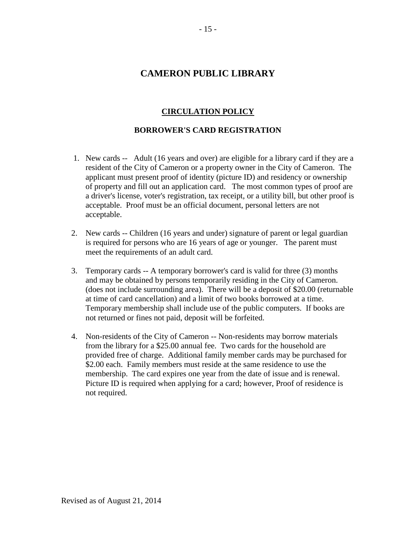### **CIRCULATION POLICY**

### **BORROWER'S CARD REGISTRATION**

- 1. New cards -- Adult (16 years and over) are eligible for a library card if they are a resident of the City of Cameron or a property owner in the City of Cameron. The applicant must present proof of identity (picture ID) and residency or ownership of property and fill out an application card. The most common types of proof are a driver's license, voter's registration, tax receipt, or a utility bill, but other proof is acceptable. Proof must be an official document, personal letters are not acceptable.
- 2. New cards -- Children (16 years and under) signature of parent or legal guardian is required for persons who are 16 years of age or younger. The parent must meet the requirements of an adult card.
- 3. Temporary cards -- A temporary borrower's card is valid for three (3) months and may be obtained by persons temporarily residing in the City of Cameron. (does not include surrounding area). There will be a deposit of \$20.00 (returnable at time of card cancellation) and a limit of two books borrowed at a time. Temporary membership shall include use of the public computers. If books are not returned or fines not paid, deposit will be forfeited.
- 4. Non-residents of the City of Cameron -- Non-residents may borrow materials from the library for a \$25.00 annual fee. Two cards for the household are provided free of charge. Additional family member cards may be purchased for \$2.00 each. Family members must reside at the same residence to use the membership. The card expires one year from the date of issue and is renewal. Picture ID is required when applying for a card; however, Proof of residence is not required.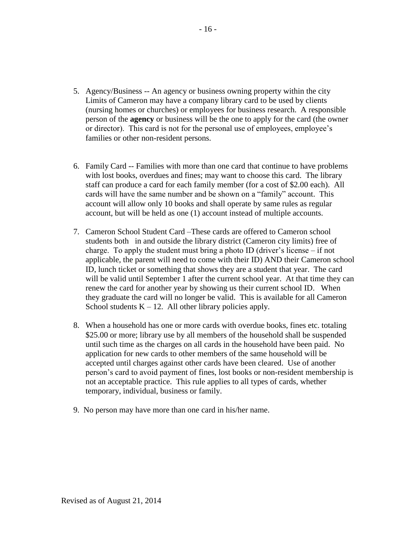- 5. Agency/Business -- An agency or business owning property within the city Limits of Cameron may have a company library card to be used by clients (nursing homes or churches) or employees for business research. A responsible person of the **agency** or business will be the one to apply for the card (the owner or director). This card is not for the personal use of employees, employee's families or other non-resident persons.
- 6. Family Card -- Families with more than one card that continue to have problems with lost books, overdues and fines; may want to choose this card. The library staff can produce a card for each family member (for a cost of \$2.00 each). All cards will have the same number and be shown on a "family" account. This account will allow only 10 books and shall operate by same rules as regular account, but will be held as one (1) account instead of multiple accounts.
- 7. Cameron School Student Card –These cards are offered to Cameron school students both in and outside the library district (Cameron city limits) free of charge. To apply the student must bring a photo ID (driver's license – if not applicable, the parent will need to come with their ID) AND their Cameron school ID, lunch ticket or something that shows they are a student that year. The card will be valid until September 1 after the current school year. At that time they can renew the card for another year by showing us their current school ID. When they graduate the card will no longer be valid. This is available for all Cameron School students  $K - 12$ . All other library policies apply.
- 8. When a household has one or more cards with overdue books, fines etc. totaling \$25.00 or more; library use by all members of the household shall be suspended until such time as the charges on all cards in the household have been paid. No application for new cards to other members of the same household will be accepted until charges against other cards have been cleared. Use of another person's card to avoid payment of fines, lost books or non-resident membership is not an acceptable practice. This rule applies to all types of cards, whether temporary, individual, business or family.
- 9. No person may have more than one card in his/her name.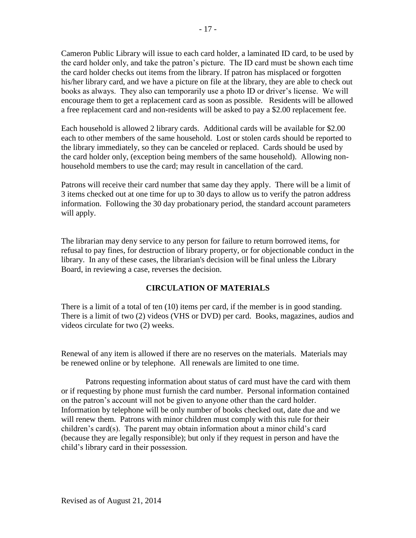Cameron Public Library will issue to each card holder, a laminated ID card, to be used by the card holder only, and take the patron's picture. The ID card must be shown each time the card holder checks out items from the library. If patron has misplaced or forgotten his/her library card, and we have a picture on file at the library, they are able to check out books as always. They also can temporarily use a photo ID or driver's license. We will encourage them to get a replacement card as soon as possible. Residents will be allowed a free replacement card and non-residents will be asked to pay a \$2.00 replacement fee.

Each household is allowed 2 library cards. Additional cards will be available for \$2.00 each to other members of the same household. Lost or stolen cards should be reported to the library immediately, so they can be canceled or replaced. Cards should be used by the card holder only, (exception being members of the same household). Allowing nonhousehold members to use the card; may result in cancellation of the card.

Patrons will receive their card number that same day they apply. There will be a limit of 3 items checked out at one time for up to 30 days to allow us to verify the patron address information. Following the 30 day probationary period, the standard account parameters will apply.

The librarian may deny service to any person for failure to return borrowed items, for refusal to pay fines, for destruction of library property, or for objectionable conduct in the library. In any of these cases, the librarian's decision will be final unless the Library Board, in reviewing a case, reverses the decision.

### **CIRCULATION OF MATERIALS**

There is a limit of a total of ten (10) items per card, if the member is in good standing. There is a limit of two (2) videos (VHS or DVD) per card. Books, magazines, audios and videos circulate for two (2) weeks.

Renewal of any item is allowed if there are no reserves on the materials. Materials may be renewed online or by telephone. All renewals are limited to one time.

Patrons requesting information about status of card must have the card with them or if requesting by phone must furnish the card number. Personal information contained on the patron's account will not be given to anyone other than the card holder. Information by telephone will be only number of books checked out, date due and we will renew them. Patrons with minor children must comply with this rule for their children's card(s). The parent may obtain information about a minor child's card (because they are legally responsible); but only if they request in person and have the child's library card in their possession.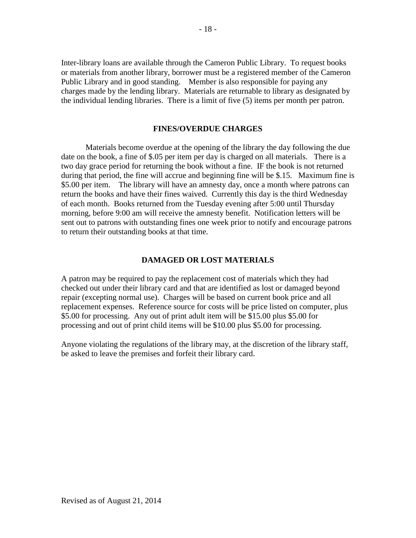Inter-library loans are available through the Cameron Public Library. To request books or materials from another library, borrower must be a registered member of the Cameron Public Library and in good standing. Member is also responsible for paying any charges made by the lending library. Materials are returnable to library as designated by the individual lending libraries. There is a limit of five (5) items per month per patron.

#### **FINES/OVERDUE CHARGES**

Materials become overdue at the opening of the library the day following the due date on the book, a fine of \$.05 per item per day is charged on all materials. There is a two day grace period for returning the book without a fine. IF the book is not returned during that period, the fine will accrue and beginning fine will be \$.15. Maximum fine is \$5.00 per item. The library will have an amnesty day, once a month where patrons can return the books and have their fines waived. Currently this day is the third Wednesday of each month. Books returned from the Tuesday evening after 5:00 until Thursday morning, before 9:00 am will receive the amnesty benefit. Notification letters will be sent out to patrons with outstanding fines one week prior to notify and encourage patrons to return their outstanding books at that time.

#### **DAMAGED OR LOST MATERIALS**

A patron may be required to pay the replacement cost of materials which they had checked out under their library card and that are identified as lost or damaged beyond repair (excepting normal use). Charges will be based on current book price and all replacement expenses. Reference source for costs will be price listed on computer, plus \$5.00 for processing. Any out of print adult item will be \$15.00 plus \$5.00 for processing and out of print child items will be \$10.00 plus \$5.00 for processing.

Anyone violating the regulations of the library may, at the discretion of the library staff, be asked to leave the premises and forfeit their library card.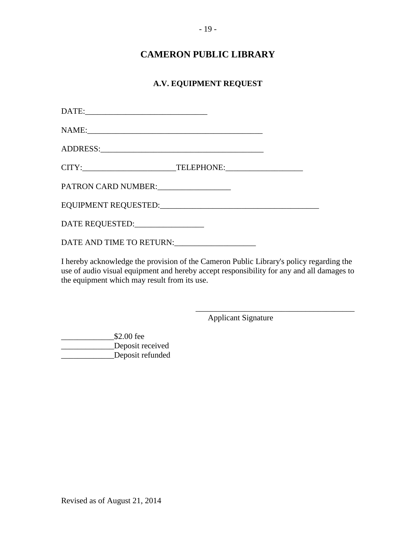### **A.V. EQUIPMENT REQUEST**

| NAME: NAME:         |  |
|---------------------|--|
|                     |  |
|                     |  |
| PATRON CARD NUMBER: |  |
|                     |  |
| DATE REQUESTED:     |  |
|                     |  |

I hereby acknowledge the provision of the Cameron Public Library's policy regarding the use of audio visual equipment and hereby accept responsibility for any and all damages to the equipment which may result from its use.

Applicant Signature

\_\_\_\_\_\_\_\_\_\_\_\_\_\_\_\_\_\_\_\_\_\_\_\_\_\_\_\_\_\_\_\_\_\_\_\_\_\_\_

 $$2.00$  fee \_\_\_\_\_\_\_\_\_\_\_\_\_Deposit received Deposit refunded

Revised as of August 21, 2014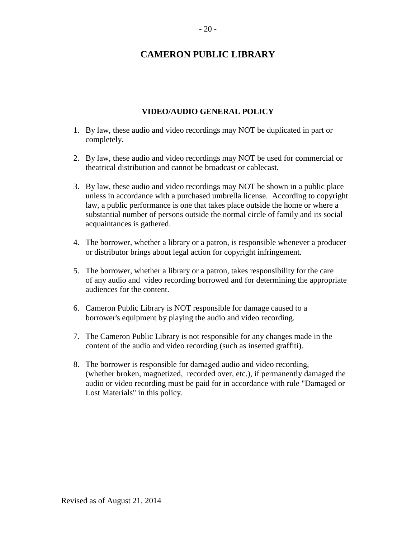### **VIDEO/AUDIO GENERAL POLICY**

- 1. By law, these audio and video recordings may NOT be duplicated in part or completely.
- 2. By law, these audio and video recordings may NOT be used for commercial or theatrical distribution and cannot be broadcast or cablecast.
- 3. By law, these audio and video recordings may NOT be shown in a public place unless in accordance with a purchased umbrella license. According to copyright law, a public performance is one that takes place outside the home or where a substantial number of persons outside the normal circle of family and its social acquaintances is gathered.
- 4. The borrower, whether a library or a patron, is responsible whenever a producer or distributor brings about legal action for copyright infringement.
- 5. The borrower, whether a library or a patron, takes responsibility for the care of any audio and video recording borrowed and for determining the appropriate audiences for the content.
- 6. Cameron Public Library is NOT responsible for damage caused to a borrower's equipment by playing the audio and video recording.
- 7. The Cameron Public Library is not responsible for any changes made in the content of the audio and video recording (such as inserted graffiti).
- 8. The borrower is responsible for damaged audio and video recording, (whether broken, magnetized, recorded over, etc.), if permanently damaged the audio or video recording must be paid for in accordance with rule "Damaged or Lost Materials" in this policy.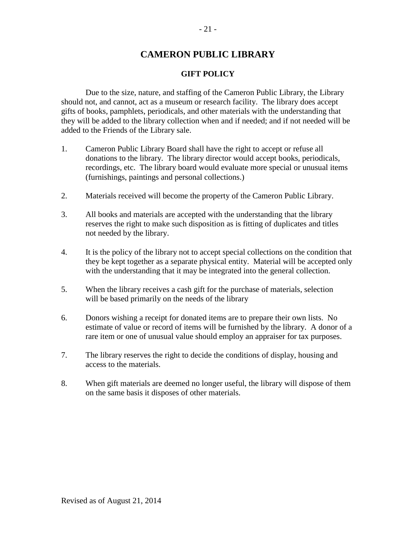### **GIFT POLICY**

Due to the size, nature, and staffing of the Cameron Public Library, the Library should not, and cannot, act as a museum or research facility. The library does accept gifts of books, pamphlets, periodicals, and other materials with the understanding that they will be added to the library collection when and if needed; and if not needed will be added to the Friends of the Library sale.

- 1. Cameron Public Library Board shall have the right to accept or refuse all donations to the library. The library director would accept books, periodicals, recordings, etc. The library board would evaluate more special or unusual items (furnishings, paintings and personal collections.)
- 2. Materials received will become the property of the Cameron Public Library.
- 3. All books and materials are accepted with the understanding that the library reserves the right to make such disposition as is fitting of duplicates and titles not needed by the library.
- 4. It is the policy of the library not to accept special collections on the condition that they be kept together as a separate physical entity. Material will be accepted only with the understanding that it may be integrated into the general collection.
- 5. When the library receives a cash gift for the purchase of materials, selection will be based primarily on the needs of the library
- 6. Donors wishing a receipt for donated items are to prepare their own lists. No estimate of value or record of items will be furnished by the library. A donor of a rare item or one of unusual value should employ an appraiser for tax purposes.
- 7. The library reserves the right to decide the conditions of display, housing and access to the materials.
- 8. When gift materials are deemed no longer useful, the library will dispose of them on the same basis it disposes of other materials.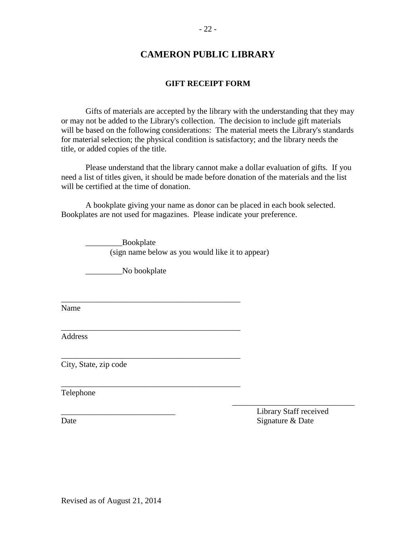### **GIFT RECEIPT FORM**

Gifts of materials are accepted by the library with the understanding that they may or may not be added to the Library's collection. The decision to include gift materials will be based on the following considerations: The material meets the Library's standards for material selection; the physical condition is satisfactory; and the library needs the title, or added copies of the title.

Please understand that the library cannot make a dollar evaluation of gifts. If you need a list of titles given, it should be made before donation of the materials and the list will be certified at the time of donation.

A bookplate giving your name as donor can be placed in each book selected. Bookplates are not used for magazines. Please indicate your preference.

> \_Bookplate (sign name below as you would like it to appear)

\_\_\_\_\_\_\_\_\_No bookplate

\_\_\_\_\_\_\_\_\_\_\_\_\_\_\_\_\_\_\_\_\_\_\_\_\_\_\_\_\_\_\_\_\_\_\_\_\_\_\_\_\_\_\_\_

\_\_\_\_\_\_\_\_\_\_\_\_\_\_\_\_\_\_\_\_\_\_\_\_\_\_\_\_\_\_\_\_\_\_\_\_\_\_\_\_\_\_\_\_

\_\_\_\_\_\_\_\_\_\_\_\_\_\_\_\_\_\_\_\_\_\_\_\_\_\_\_\_\_\_\_\_\_\_\_\_\_\_\_\_\_\_\_\_

\_\_\_\_\_\_\_\_\_\_\_\_\_\_\_\_\_\_\_\_\_\_\_\_\_\_\_\_\_\_\_\_\_\_\_\_\_\_\_\_\_\_\_\_

Name

Address

City, State, zip code

Telephone

Library Staff received Date Signature & Date

\_\_\_\_\_\_\_\_\_\_\_\_\_\_\_\_\_\_\_\_\_\_\_\_\_\_\_\_\_\_

Revised as of August 21, 2014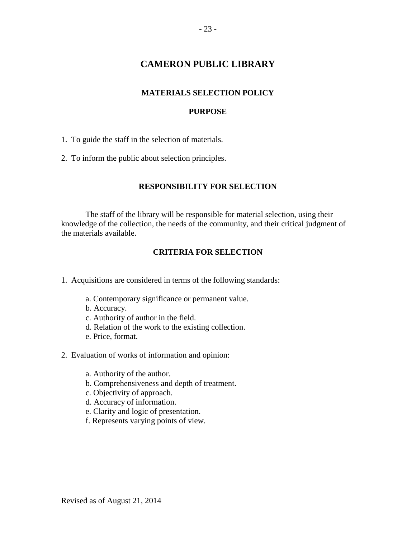### **MATERIALS SELECTION POLICY**

### **PURPOSE**

1. To guide the staff in the selection of materials.

2. To inform the public about selection principles.

### **RESPONSIBILITY FOR SELECTION**

The staff of the library will be responsible for material selection, using their knowledge of the collection, the needs of the community, and their critical judgment of the materials available.

### **CRITERIA FOR SELECTION**

- 1. Acquisitions are considered in terms of the following standards:
	- a. Contemporary significance or permanent value.
	- b. Accuracy.
	- c. Authority of author in the field.
	- d. Relation of the work to the existing collection.
	- e. Price, format.
- 2. Evaluation of works of information and opinion:
	- a. Authority of the author.
	- b. Comprehensiveness and depth of treatment.
	- c. Objectivity of approach.
	- d. Accuracy of information.
	- e. Clarity and logic of presentation.
	- f. Represents varying points of view.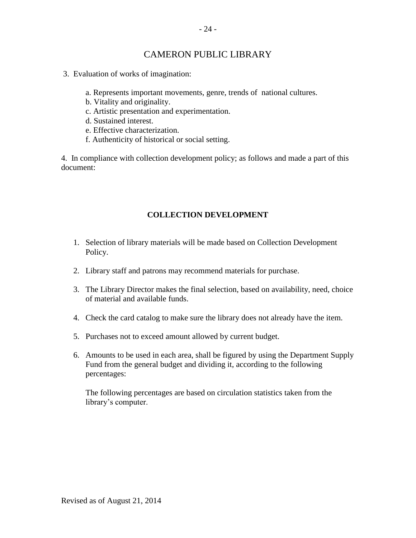- 3. Evaluation of works of imagination:
	- a. Represents important movements, genre, trends of national cultures.
	- b. Vitality and originality.
	- c. Artistic presentation and experimentation.
	- d. Sustained interest.
	- e. Effective characterization.
	- f. Authenticity of historical or social setting.

4. In compliance with collection development policy; as follows and made a part of this document:

### **COLLECTION DEVELOPMENT**

- 1. Selection of library materials will be made based on Collection Development Policy.
- 2. Library staff and patrons may recommend materials for purchase.
- 3. The Library Director makes the final selection, based on availability, need, choice of material and available funds.
- 4. Check the card catalog to make sure the library does not already have the item.
- 5. Purchases not to exceed amount allowed by current budget.
- 6. Amounts to be used in each area, shall be figured by using the Department Supply Fund from the general budget and dividing it, according to the following percentages:

The following percentages are based on circulation statistics taken from the library's computer.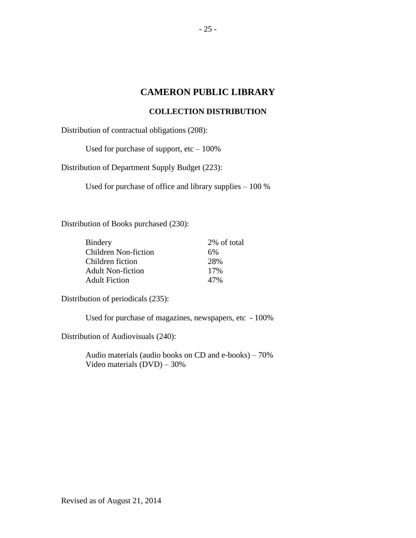### **COLLECTION DISTRIBUTION**

Distribution of contractual obligations (208):

Used for purchase of support,  $etc - 100\%$ 

Distribution of Department Supply Budget (223):

Used for purchase of office and library supplies – 100 %

Distribution of Books purchased (230):

| Bindery                  | 2\% of total |
|--------------------------|--------------|
| Children Non-fiction     | 6%           |
| Children fiction         | 2.8%         |
| <b>Adult Non-fiction</b> | 17%          |
| Adult Fiction            | 47%          |

Distribution of periodicals (235):

Used for purchase of magazines, newspapers, etc - 100%

Distribution of Audiovisuals (240):

Audio materials (audio books on CD and e-books) – 70% Video materials (DVD) – 30%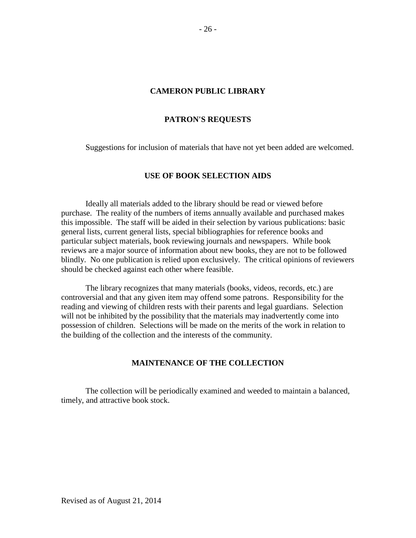#### **PATRON'S REQUESTS**

Suggestions for inclusion of materials that have not yet been added are welcomed.

#### **USE OF BOOK SELECTION AIDS**

Ideally all materials added to the library should be read or viewed before purchase. The reality of the numbers of items annually available and purchased makes this impossible. The staff will be aided in their selection by various publications: basic general lists, current general lists, special bibliographies for reference books and particular subject materials, book reviewing journals and newspapers. While book reviews are a major source of information about new books, they are not to be followed blindly. No one publication is relied upon exclusively. The critical opinions of reviewers should be checked against each other where feasible.

The library recognizes that many materials (books, videos, records, etc.) are controversial and that any given item may offend some patrons. Responsibility for the reading and viewing of children rests with their parents and legal guardians. Selection will not be inhibited by the possibility that the materials may inadvertently come into possession of children. Selections will be made on the merits of the work in relation to the building of the collection and the interests of the community.

### **MAINTENANCE OF THE COLLECTION**

The collection will be periodically examined and weeded to maintain a balanced, timely, and attractive book stock.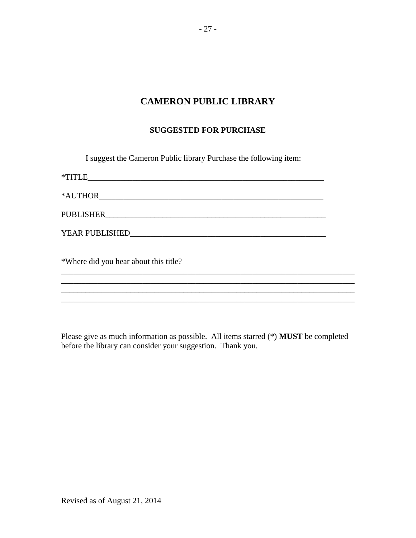### **SUGGESTED FOR PURCHASE**

I suggest the Cameron Public library Purchase the following item:

| *TITLE<br><u> 1980 - Jan Barbara, masonar amerikan per</u>                                                                                                                                                                        |
|-----------------------------------------------------------------------------------------------------------------------------------------------------------------------------------------------------------------------------------|
|                                                                                                                                                                                                                                   |
|                                                                                                                                                                                                                                   |
|                                                                                                                                                                                                                                   |
| $\frac{1}{2}$ , and the set of the set of the set of the set of the set of the set of the set of the set of the set of the set of the set of the set of the set of the set of the set of the set of the set of the set of the set |

\*Where did you hear about this title?

Please give as much information as possible. All items starred (\*) **MUST** be completed before the library can consider your suggestion. Thank you.

\_\_\_\_\_\_\_\_\_\_\_\_\_\_\_\_\_\_\_\_\_\_\_\_\_\_\_\_\_\_\_\_\_\_\_\_\_\_\_\_\_\_\_\_\_\_\_\_\_\_\_\_\_\_\_\_\_\_\_\_\_\_\_\_\_\_\_\_\_\_\_\_

\_\_\_\_\_\_\_\_\_\_\_\_\_\_\_\_\_\_\_\_\_\_\_\_\_\_\_\_\_\_\_\_\_\_\_\_\_\_\_\_\_\_\_\_\_\_\_\_\_\_\_\_\_\_\_\_\_\_\_\_\_\_\_\_\_\_\_\_\_\_\_\_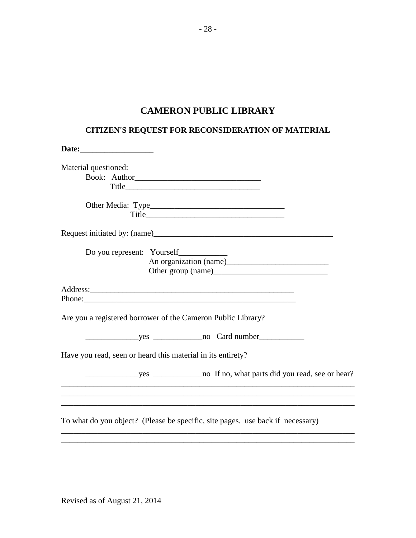# **CITIZEN'S REQUEST FOR RECONSIDERATION OF MATERIAL**

| Material questioned:                                                           |
|--------------------------------------------------------------------------------|
|                                                                                |
|                                                                                |
|                                                                                |
|                                                                                |
|                                                                                |
| Do you represent: Yourself                                                     |
|                                                                                |
| Other group (name)                                                             |
|                                                                                |
| Phone: Phone:                                                                  |
| Are you a registered borrower of the Cameron Public Library?                   |
|                                                                                |
| Have you read, seen or heard this material in its entirety?                    |
|                                                                                |
|                                                                                |
| To what do you object? (Please be specific, site pages. use back if necessary) |
|                                                                                |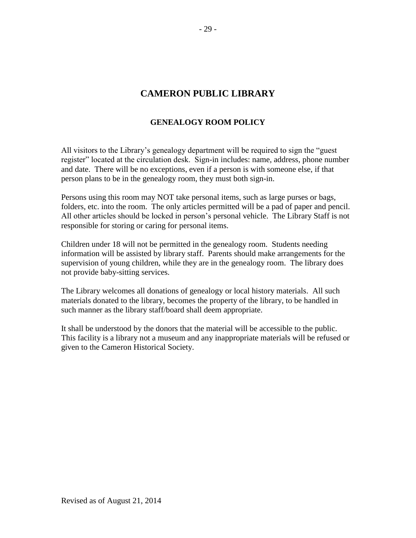# **GENEALOGY ROOM POLICY**

All visitors to the Library's genealogy department will be required to sign the "guest register" located at the circulation desk. Sign-in includes: name, address, phone number and date. There will be no exceptions, even if a person is with someone else, if that person plans to be in the genealogy room, they must both sign-in.

Persons using this room may NOT take personal items, such as large purses or bags, folders, etc. into the room. The only articles permitted will be a pad of paper and pencil. All other articles should be locked in person's personal vehicle. The Library Staff is not responsible for storing or caring for personal items.

Children under 18 will not be permitted in the genealogy room. Students needing information will be assisted by library staff. Parents should make arrangements for the supervision of young children, while they are in the genealogy room. The library does not provide baby-sitting services.

The Library welcomes all donations of genealogy or local history materials. All such materials donated to the library, becomes the property of the library, to be handled in such manner as the library staff/board shall deem appropriate.

It shall be understood by the donors that the material will be accessible to the public. This facility is a library not a museum and any inappropriate materials will be refused or given to the Cameron Historical Society.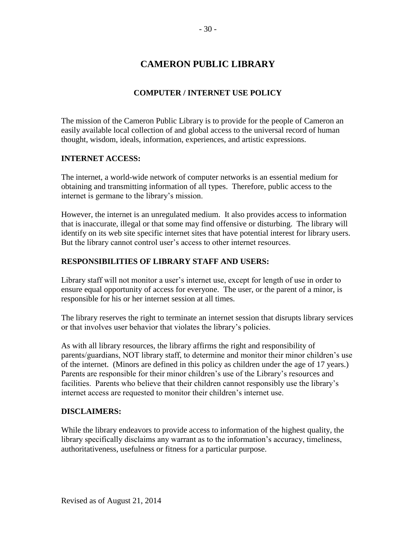## **COMPUTER / INTERNET USE POLICY**

The mission of the Cameron Public Library is to provide for the people of Cameron an easily available local collection of and global access to the universal record of human thought, wisdom, ideals, information, experiences, and artistic expressions.

### **INTERNET ACCESS:**

The internet, a world-wide network of computer networks is an essential medium for obtaining and transmitting information of all types. Therefore, public access to the internet is germane to the library's mission.

However, the internet is an unregulated medium. It also provides access to information that is inaccurate, illegal or that some may find offensive or disturbing. The library will identify on its web site specific internet sites that have potential interest for library users. But the library cannot control user's access to other internet resources.

### **RESPONSIBILITIES OF LIBRARY STAFF AND USERS:**

Library staff will not monitor a user's internet use, except for length of use in order to ensure equal opportunity of access for everyone. The user, or the parent of a minor, is responsible for his or her internet session at all times.

The library reserves the right to terminate an internet session that disrupts library services or that involves user behavior that violates the library's policies.

As with all library resources, the library affirms the right and responsibility of parents/guardians, NOT library staff, to determine and monitor their minor children's use of the internet. (Minors are defined in this policy as children under the age of 17 years.) Parents are responsible for their minor children's use of the Library's resources and facilities. Parents who believe that their children cannot responsibly use the library's internet access are requested to monitor their children's internet use.

### **DISCLAIMERS:**

While the library endeavors to provide access to information of the highest quality, the library specifically disclaims any warrant as to the information's accuracy, timeliness, authoritativeness, usefulness or fitness for a particular purpose.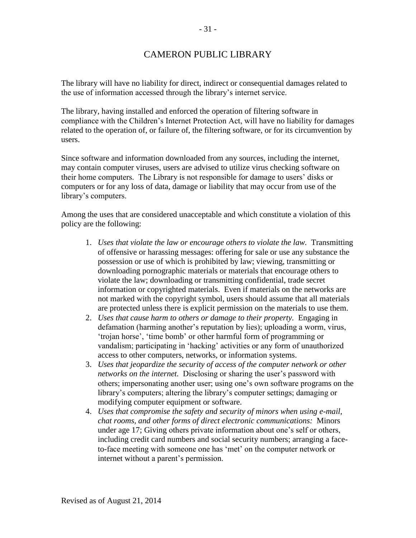The library will have no liability for direct, indirect or consequential damages related to the use of information accessed through the library's internet service.

The library, having installed and enforced the operation of filtering software in compliance with the Children's Internet Protection Act, will have no liability for damages related to the operation of, or failure of, the filtering software, or for its circumvention by users.

Since software and information downloaded from any sources, including the internet, may contain computer viruses, users are advised to utilize virus checking software on their home computers. The Library is not responsible for damage to users' disks or computers or for any loss of data, damage or liability that may occur from use of the library's computers.

Among the uses that are considered unacceptable and which constitute a violation of this policy are the following:

- 1. *Uses that violate the law or encourage others to violate the law.* Transmitting of offensive or harassing messages: offering for sale or use any substance the possession or use of which is prohibited by law; viewing, transmitting or downloading pornographic materials or materials that encourage others to violate the law; downloading or transmitting confidential, trade secret information or copyrighted materials. Even if materials on the networks are not marked with the copyright symbol, users should assume that all materials are protected unless there is explicit permission on the materials to use them.
- 2. *Uses that cause harm to others or damage to their property.* Engaging in defamation (harming another's reputation by lies); uploading a worm, virus, 'trojan horse', 'time bomb' or other harmful form of programming or vandalism; participating in 'hacking' activities or any form of unauthorized access to other computers, networks, or information systems.
- 3. *Uses that jeopardize the security of access of the computer network or other networks on the internet.* Disclosing or sharing the user's password with others; impersonating another user; using one's own software programs on the library's computers; altering the library's computer settings; damaging or modifying computer equipment or software.
- 4. *Uses that compromise the safety and security of minors when using e-mail, chat rooms, and other forms of direct electronic communications:* Minors under age 17; Giving others private information about one's self or others, including credit card numbers and social security numbers; arranging a faceto-face meeting with someone one has 'met' on the computer network or internet without a parent's permission.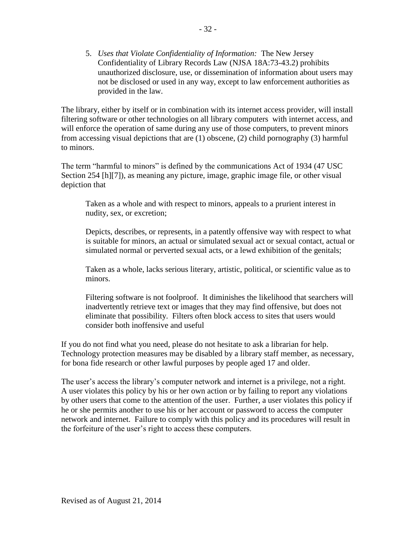5. *Uses that Violate Confidentiality of Information:* The New Jersey Confidentiality of Library Records Law (NJSA 18A:73-43.2) prohibits unauthorized disclosure, use, or dissemination of information about users may not be disclosed or used in any way, except to law enforcement authorities as provided in the law.

The library, either by itself or in combination with its internet access provider, will install filtering software or other technologies on all library computers with internet access, and will enforce the operation of same during any use of those computers, to prevent minors from accessing visual depictions that are (1) obscene, (2) child pornography (3) harmful to minors.

The term "harmful to minors" is defined by the communications Act of 1934 (47 USC Section 254 [h][7]), as meaning any picture, image, graphic image file, or other visual depiction that

Taken as a whole and with respect to minors, appeals to a prurient interest in nudity, sex, or excretion;

Depicts, describes, or represents, in a patently offensive way with respect to what is suitable for minors, an actual or simulated sexual act or sexual contact, actual or simulated normal or perverted sexual acts, or a lewd exhibition of the genitals;

Taken as a whole, lacks serious literary, artistic, political, or scientific value as to minors.

Filtering software is not foolproof. It diminishes the likelihood that searchers will inadvertently retrieve text or images that they may find offensive, but does not eliminate that possibility. Filters often block access to sites that users would consider both inoffensive and useful

If you do not find what you need, please do not hesitate to ask a librarian for help. Technology protection measures may be disabled by a library staff member, as necessary, for bona fide research or other lawful purposes by people aged 17 and older.

The user's access the library's computer network and internet is a privilege, not a right. A user violates this policy by his or her own action or by failing to report any violations by other users that come to the attention of the user. Further, a user violates this policy if he or she permits another to use his or her account or password to access the computer network and internet. Failure to comply with this policy and its procedures will result in the forfeiture of the user's right to access these computers.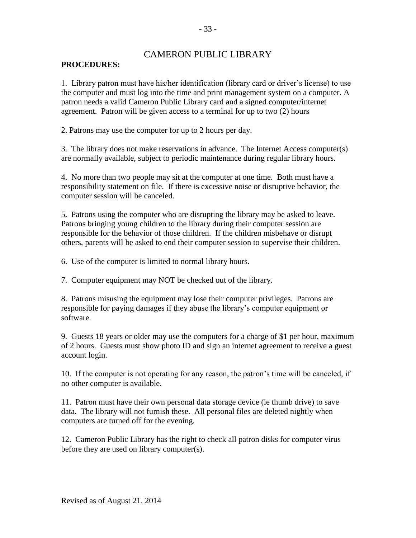### **PROCEDURES:**

1. Library patron must have his/her identification (library card or driver's license) to use the computer and must log into the time and print management system on a computer. A patron needs a valid Cameron Public Library card and a signed computer/internet agreement. Patron will be given access to a terminal for up to two (2) hours

2. Patrons may use the computer for up to 2 hours per day.

3. The library does not make reservations in advance. The Internet Access computer(s) are normally available, subject to periodic maintenance during regular library hours.

4. No more than two people may sit at the computer at one time. Both must have a responsibility statement on file. If there is excessive noise or disruptive behavior, the computer session will be canceled.

5. Patrons using the computer who are disrupting the library may be asked to leave. Patrons bringing young children to the library during their computer session are responsible for the behavior of those children. If the children misbehave or disrupt others, parents will be asked to end their computer session to supervise their children.

6. Use of the computer is limited to normal library hours.

7. Computer equipment may NOT be checked out of the library.

8. Patrons misusing the equipment may lose their computer privileges. Patrons are responsible for paying damages if they abuse the library's computer equipment or software.

9. Guests 18 years or older may use the computers for a charge of \$1 per hour, maximum of 2 hours. Guests must show photo ID and sign an internet agreement to receive a guest account login.

10. If the computer is not operating for any reason, the patron's time will be canceled, if no other computer is available.

11. Patron must have their own personal data storage device (ie thumb drive) to save data. The library will not furnish these. All personal files are deleted nightly when computers are turned off for the evening.

12. Cameron Public Library has the right to check all patron disks for computer virus before they are used on library computer(s).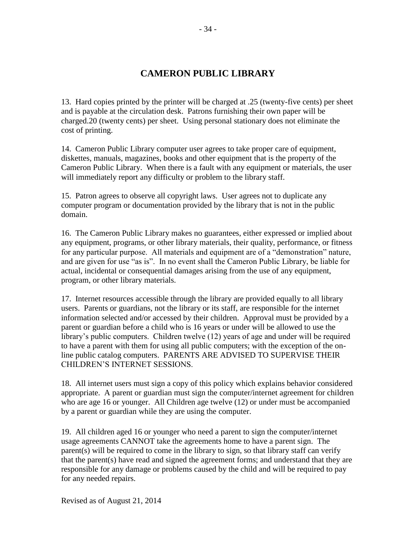13. Hard copies printed by the printer will be charged at .25 (twenty-five cents) per sheet and is payable at the circulation desk. Patrons furnishing their own paper will be charged.20 (twenty cents) per sheet. Using personal stationary does not eliminate the cost of printing.

14. Cameron Public Library computer user agrees to take proper care of equipment, diskettes, manuals, magazines, books and other equipment that is the property of the Cameron Public Library. When there is a fault with any equipment or materials, the user will immediately report any difficulty or problem to the library staff.

15. Patron agrees to observe all copyright laws. User agrees not to duplicate any computer program or documentation provided by the library that is not in the public domain.

16. The Cameron Public Library makes no guarantees, either expressed or implied about any equipment, programs, or other library materials, their quality, performance, or fitness for any particular purpose. All materials and equipment are of a "demonstration" nature, and are given for use "as is". In no event shall the Cameron Public Library, be liable for actual, incidental or consequential damages arising from the use of any equipment, program, or other library materials.

17. Internet resources accessible through the library are provided equally to all library users. Parents or guardians, not the library or its staff, are responsible for the internet information selected and/or accessed by their children. Approval must be provided by a parent or guardian before a child who is 16 years or under will be allowed to use the library's public computers. Children twelve (12) years of age and under will be required to have a parent with them for using all public computers; with the exception of the online public catalog computers. PARENTS ARE ADVISED TO SUPERVISE THEIR CHILDREN'S INTERNET SESSIONS.

18. All internet users must sign a copy of this policy which explains behavior considered appropriate. A parent or guardian must sign the computer/internet agreement for children who are age 16 or younger. All Children age twelve (12) or under must be accompanied by a parent or guardian while they are using the computer.

19. All children aged 16 or younger who need a parent to sign the computer/internet usage agreements CANNOT take the agreements home to have a parent sign. The parent(s) will be required to come in the library to sign, so that library staff can verify that the parent(s) have read and signed the agreement forms; and understand that they are responsible for any damage or problems caused by the child and will be required to pay for any needed repairs.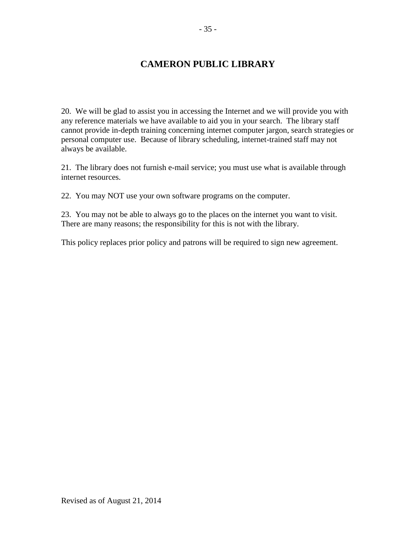20. We will be glad to assist you in accessing the Internet and we will provide you with any reference materials we have available to aid you in your search. The library staff cannot provide in-depth training concerning internet computer jargon, search strategies or personal computer use. Because of library scheduling, internet-trained staff may not always be available.

21. The library does not furnish e-mail service; you must use what is available through internet resources.

22. You may NOT use your own software programs on the computer.

23. You may not be able to always go to the places on the internet you want to visit. There are many reasons; the responsibility for this is not with the library.

This policy replaces prior policy and patrons will be required to sign new agreement.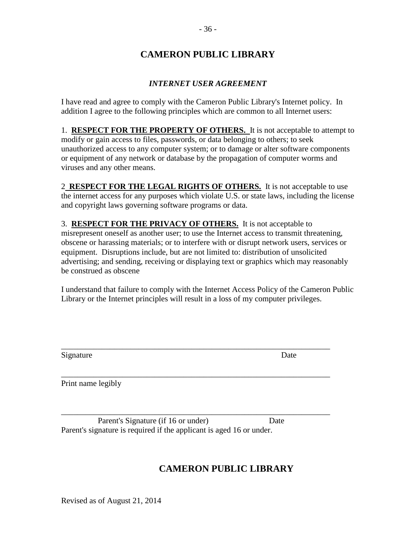### *INTERNET USER AGREEMENT*

I have read and agree to comply with the Cameron Public Library's Internet policy. In addition I agree to the following principles which are common to all Internet users:

1. **RESPECT FOR THE PROPERTY OF OTHERS.** It is not acceptable to attempt to modify or gain access to files, passwords, or data belonging to others; to seek unauthorized access to any computer system; or to damage or alter software components or equipment of any network or database by the propagation of computer worms and viruses and any other means.

2 **RESPECT FOR THE LEGAL RIGHTS OF OTHERS.** It is not acceptable to use the internet access for any purposes which violate U.S. or state laws, including the license and copyright laws governing software programs or data.

3. **RESPECT FOR THE PRIVACY OF OTHERS.** It is not acceptable to misrepresent oneself as another user; to use the Internet access to transmit threatening, obscene or harassing materials; or to interfere with or disrupt network users, services or equipment. Disruptions include, but are not limited to: distribution of unsolicited advertising; and sending, receiving or displaying text or graphics which may reasonably be construed as obscene

I understand that failure to comply with the Internet Access Policy of the Cameron Public Library or the Internet principles will result in a loss of my computer privileges.

\_\_\_\_\_\_\_\_\_\_\_\_\_\_\_\_\_\_\_\_\_\_\_\_\_\_\_\_\_\_\_\_\_\_\_\_\_\_\_\_\_\_\_\_\_\_\_\_\_\_\_\_\_\_\_\_\_\_\_\_\_\_\_\_\_\_

\_\_\_\_\_\_\_\_\_\_\_\_\_\_\_\_\_\_\_\_\_\_\_\_\_\_\_\_\_\_\_\_\_\_\_\_\_\_\_\_\_\_\_\_\_\_\_\_\_\_\_\_\_\_\_\_\_\_\_\_\_\_\_\_\_\_

Signature Date

Print name legibly

\_\_\_\_\_\_\_\_\_\_\_\_\_\_\_\_\_\_\_\_\_\_\_\_\_\_\_\_\_\_\_\_\_\_\_\_\_\_\_\_\_\_\_\_\_\_\_\_\_\_\_\_\_\_\_\_\_\_\_\_\_\_\_\_\_\_ Parent's Signature (if 16 or under) Date Parent's signature is required if the applicant is aged 16 or under.

# **CAMERON PUBLIC LIBRARY**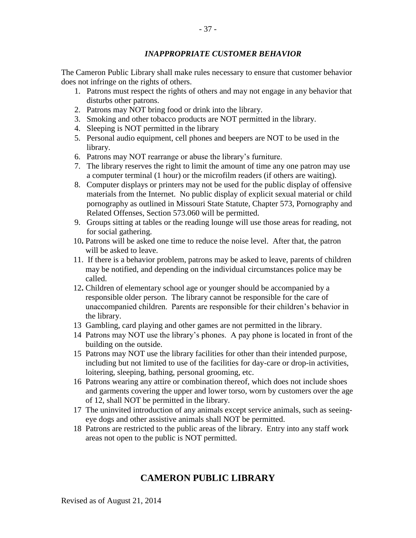### *INAPPROPRIATE CUSTOMER BEHAVIOR*

The Cameron Public Library shall make rules necessary to ensure that customer behavior does not infringe on the rights of others.

- 1. Patrons must respect the rights of others and may not engage in any behavior that disturbs other patrons.
- 2. Patrons may NOT bring food or drink into the library.
- 3. Smoking and other tobacco products are NOT permitted in the library.
- 4. Sleeping is NOT permitted in the library
- 5. Personal audio equipment, cell phones and beepers are NOT to be used in the library.
- 6. Patrons may NOT rearrange or abuse the library's furniture.
- 7. The library reserves the right to limit the amount of time any one patron may use a computer terminal (1 hour) or the microfilm readers (if others are waiting).
- 8. Computer displays or printers may not be used for the public display of offensive materials from the Internet. No public display of explicit sexual material or child pornography as outlined in Missouri State Statute, Chapter 573, Pornography and Related Offenses, Section 573.060 will be permitted.
- 9. Groups sitting at tables or the reading lounge will use those areas for reading, not for social gathering.
- 10**.** Patrons will be asked one time to reduce the noise level. After that, the patron will be asked to leave.
- 11. If there is a behavior problem, patrons may be asked to leave, parents of children may be notified, and depending on the individual circumstances police may be called.
- 12**.** Children of elementary school age or younger should be accompanied by a responsible older person. The library cannot be responsible for the care of unaccompanied children. Parents are responsible for their children's behavior in the library.
- 13 Gambling, card playing and other games are not permitted in the library.
- 14 Patrons may NOT use the library's phones. A pay phone is located in front of the building on the outside.
- 15 Patrons may NOT use the library facilities for other than their intended purpose, including but not limited to use of the facilities for day-care or drop-in activities, loitering, sleeping, bathing, personal grooming, etc.
- 16 Patrons wearing any attire or combination thereof, which does not include shoes and garments covering the upper and lower torso, worn by customers over the age of 12, shall NOT be permitted in the library.
- 17 The uninvited introduction of any animals except service animals, such as seeingeye dogs and other assistive animals shall NOT be permitted.
- 18 Patrons are restricted to the public areas of the library. Entry into any staff work areas not open to the public is NOT permitted.

# **CAMERON PUBLIC LIBRARY**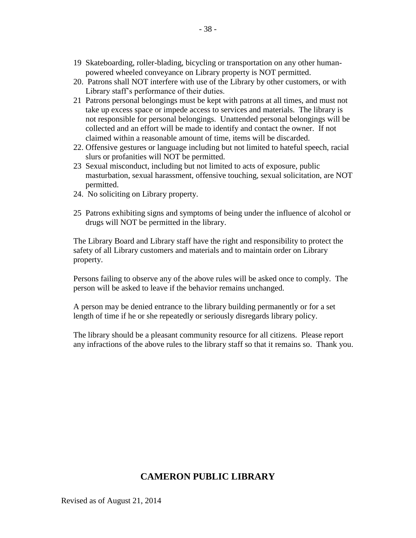- 19 Skateboarding, roller-blading, bicycling or transportation on any other humanpowered wheeled conveyance on Library property is NOT permitted.
- 20. Patrons shall NOT interfere with use of the Library by other customers, or with Library staff's performance of their duties.
- 21 Patrons personal belongings must be kept with patrons at all times, and must not take up excess space or impede access to services and materials. The library is not responsible for personal belongings. Unattended personal belongings will be collected and an effort will be made to identify and contact the owner. If not claimed within a reasonable amount of time, items will be discarded.
- 22. Offensive gestures or language including but not limited to hateful speech, racial slurs or profanities will NOT be permitted.
- 23 Sexual misconduct, including but not limited to acts of exposure, public masturbation, sexual harassment, offensive touching, sexual solicitation, are NOT permitted.
- 24. No soliciting on Library property.
- 25 Patrons exhibiting signs and symptoms of being under the influence of alcohol or drugs will NOT be permitted in the library.

The Library Board and Library staff have the right and responsibility to protect the safety of all Library customers and materials and to maintain order on Library property.

Persons failing to observe any of the above rules will be asked once to comply. The person will be asked to leave if the behavior remains unchanged.

A person may be denied entrance to the library building permanently or for a set length of time if he or she repeatedly or seriously disregards library policy.

The library should be a pleasant community resource for all citizens. Please report any infractions of the above rules to the library staff so that it remains so. Thank you.

# **CAMERON PUBLIC LIBRARY**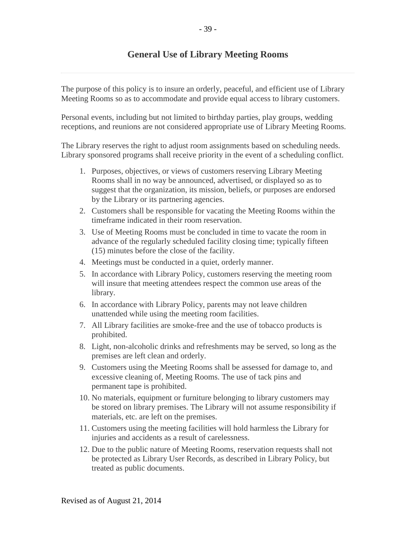The purpose of this policy is to insure an orderly, peaceful, and efficient use of Library Meeting Rooms so as to accommodate and provide equal access to library customers.

Personal events, including but not limited to birthday parties, play groups, wedding receptions, and reunions are not considered appropriate use of Library Meeting Rooms.

The Library reserves the right to adjust room assignments based on scheduling needs. Library sponsored programs shall receive priority in the event of a scheduling conflict.

- 1. Purposes, objectives, or views of customers reserving Library Meeting Rooms shall in no way be announced, advertised, or displayed so as to suggest that the organization, its mission, beliefs, or purposes are endorsed by the Library or its partnering agencies.
- 2. Customers shall be responsible for vacating the Meeting Rooms within the timeframe indicated in their room reservation.
- 3. Use of Meeting Rooms must be concluded in time to vacate the room in advance of the regularly scheduled facility closing time; typically fifteen (15) minutes before the close of the facility.
- 4. Meetings must be conducted in a quiet, orderly manner.
- 5. In accordance with Library Policy, customers reserving the meeting room will insure that meeting attendees respect the common use areas of the library.
- 6. In accordance with Library Policy, parents may not leave children unattended while using the meeting room facilities.
- 7. All Library facilities are smoke-free and the use of tobacco products is prohibited.
- 8. Light, non-alcoholic drinks and refreshments may be served, so long as the premises are left clean and orderly.
- 9. Customers using the Meeting Rooms shall be assessed for damage to, and excessive cleaning of, Meeting Rooms. The use of tack pins and permanent tape is prohibited.
- 10. No materials, equipment or furniture belonging to library customers may be stored on library premises. The Library will not assume responsibility if materials, etc. are left on the premises.
- 11. Customers using the meeting facilities will hold harmless the Library for injuries and accidents as a result of carelessness.
- 12. Due to the public nature of Meeting Rooms, reservation requests shall not be protected as Library User Records, as described in Library Policy, but treated as public documents.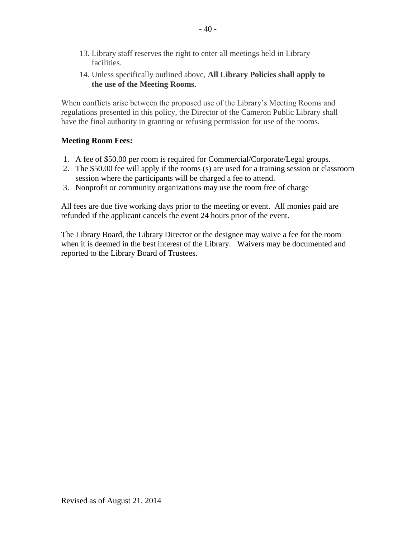- 13. Library staff reserves the right to enter all meetings held in Library facilities.
- 14. Unless specifically outlined above, **All Library Policies shall apply to the use of the Meeting Rooms.**

When conflicts arise between the proposed use of the Library's Meeting Rooms and regulations presented in this policy, the Director of the Cameron Public Library shall have the final authority in granting or refusing permission for use of the rooms.

### **Meeting Room Fees:**

- 1. A fee of \$50.00 per room is required for Commercial/Corporate/Legal groups.
- 2. The \$50.00 fee will apply if the rooms (s) are used for a training session or classroom session where the participants will be charged a fee to attend.
- 3. Nonprofit or community organizations may use the room free of charge

All fees are due five working days prior to the meeting or event. All monies paid are refunded if the applicant cancels the event 24 hours prior of the event.

The Library Board, the Library Director or the designee may waive a fee for the room when it is deemed in the best interest of the Library. Waivers may be documented and reported to the Library Board of Trustees.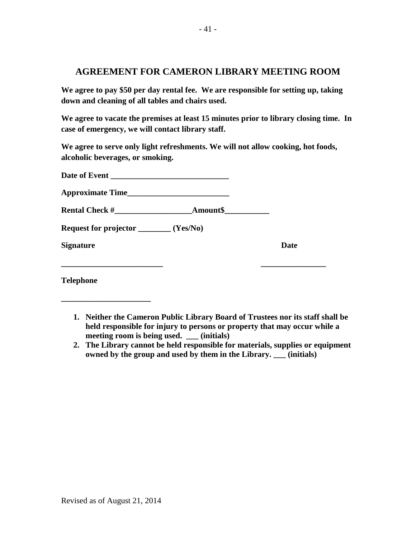## **AGREEMENT FOR CAMERON LIBRARY MEETING ROOM**

**We agree to pay \$50 per day rental fee. We are responsible for setting up, taking down and cleaning of all tables and chairs used.**

**We agree to vacate the premises at least 15 minutes prior to library closing time. In case of emergency, we will contact library staff.** 

**We agree to serve only light refreshments. We will not allow cooking, hot foods, alcoholic beverages, or smoking.** 

| Approximate Time                         |             |
|------------------------------------------|-------------|
|                                          |             |
| Request for projector _________ (Yes/No) |             |
| <b>Signature</b>                         | <b>Date</b> |
| <b>Telephone</b>                         |             |

- **1. Neither the Cameron Public Library Board of Trustees nor its staff shall be held responsible for injury to persons or property that may occur while a meeting room is being used. \_\_\_ (initials)**
- **2. The Library cannot be held responsible for materials, supplies or equipment owned by the group and used by them in the Library. \_\_\_ (initials)**

**\_\_\_\_\_\_\_\_\_\_\_\_\_\_\_\_\_\_\_\_\_\_**